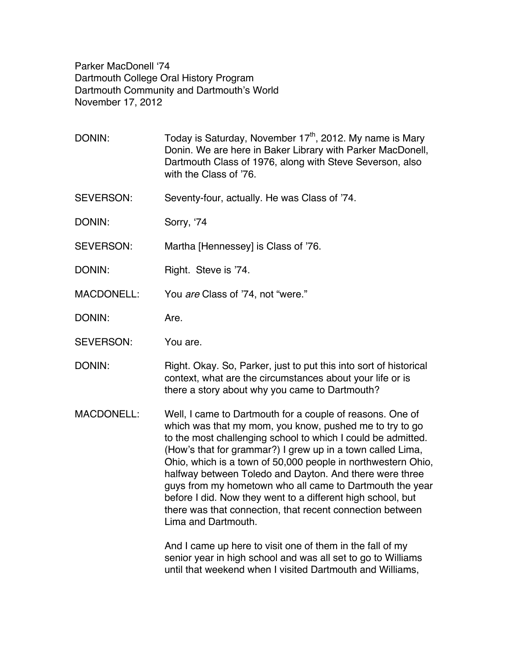Parker MacDonell ʻ74 Dartmouth College Oral History Program Dartmouth Community and Dartmouth's World November 17, 2012

- DONIN: Today is Saturday, November  $17<sup>th</sup>$ , 2012. My name is Mary Donin. We are here in Baker Library with Parker MacDonell, Dartmouth Class of 1976, along with Steve Severson, also with the Class of '76.
- SEVERSON: Seventy-four, actually. He was Class of '74.
- DONIN: Sorry, ʻ74
- SEVERSON: Martha [Hennessey] is Class of '76.
- DONIN: Right. Steve is '74.
- MACDONELL: You *are* Class of '74, not "were."
- DONIN: Are.
- SEVERSON: You are.
- DONIN: Right. Okay. So, Parker, just to put this into sort of historical context, what are the circumstances about your life or is there a story about why you came to Dartmouth?
- MACDONELL: Well, I came to Dartmouth for a couple of reasons. One of which was that my mom, you know, pushed me to try to go to the most challenging school to which I could be admitted. (How's that for grammar?) I grew up in a town called Lima, Ohio, which is a town of 50,000 people in northwestern Ohio, halfway between Toledo and Dayton. And there were three guys from my hometown who all came to Dartmouth the year before I did. Now they went to a different high school, but there was that connection, that recent connection between Lima and Dartmouth.

And I came up here to visit one of them in the fall of my senior year in high school and was all set to go to Williams until that weekend when I visited Dartmouth and Williams,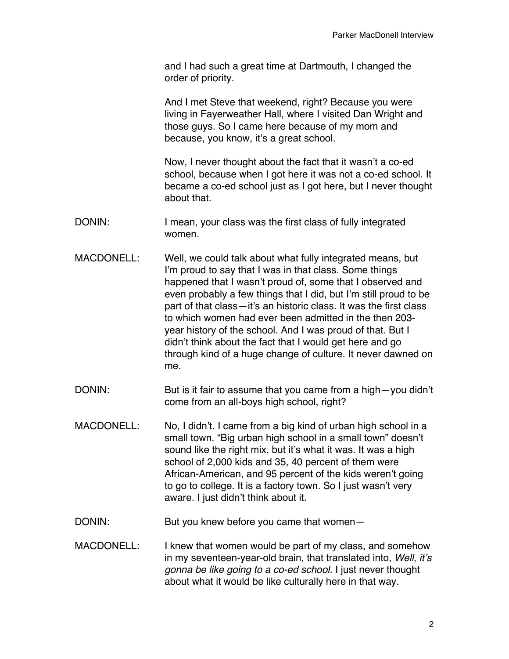and I had such a great time at Dartmouth, I changed the order of priority.

And I met Steve that weekend, right? Because you were living in Fayerweather Hall, where I visited Dan Wright and those guys. So I came here because of my mom and because, you know, it's a great school.

Now, I never thought about the fact that it wasn't a co-ed school, because when I got here it was not a co-ed school. It became a co-ed school just as I got here, but I never thought about that.

- DONIN: I mean, your class was the first class of fully integrated women.
- MACDONELL: Well, we could talk about what fully integrated means, but I'm proud to say that I was in that class. Some things happened that I wasn't proud of, some that I observed and even probably a few things that I did, but I'm still proud to be part of that class—it's an historic class. It was the first class to which women had ever been admitted in the then 203 year history of the school. And I was proud of that. But I didn't think about the fact that I would get here and go through kind of a huge change of culture. It never dawned on me.
- DONIN: But is it fair to assume that you came from a high—you didn't come from an all-boys high school, right?
- MACDONELL: No, I didn't. I came from a big kind of urban high school in a small town. "Big urban high school in a small town" doesn't sound like the right mix, but it's what it was. It was a high school of 2,000 kids and 35, 40 percent of them were African-American, and 95 percent of the kids weren't going to go to college. It is a factory town. So I just wasn't very aware. I just didn't think about it.
- DONIN: But you knew before you came that women—
- MACDONELL: I knew that women would be part of my class, and somehow in my seventeen-year-old brain, that translated into, *Well, it*'*s gonna be like going to a co-ed school*. I just never thought about what it would be like culturally here in that way.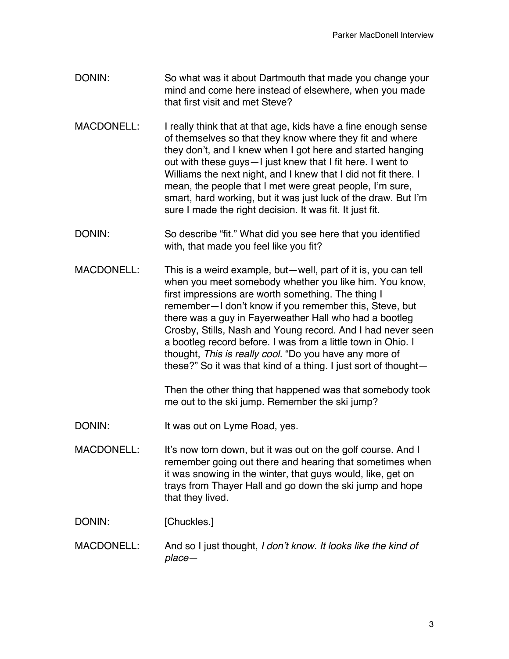- DONIN: So what was it about Dartmouth that made you change your mind and come here instead of elsewhere, when you made that first visit and met Steve?
- MACDONELL: I really think that at that age, kids have a fine enough sense of themselves so that they know where they fit and where they don't, and I knew when I got here and started hanging out with these guys—I just knew that I fit here. I went to Williams the next night, and I knew that I did not fit there. I mean, the people that I met were great people, I'm sure, smart, hard working, but it was just luck of the draw. But I'm sure I made the right decision. It was fit. It just fit.
- DONIN: So describe "fit." What did you see here that you identified with, that made you feel like you fit?
- MACDONELL: This is a weird example, but—well, part of it is, you can tell when you meet somebody whether you like him. You know, first impressions are worth something. The thing I remember—I don't know if you remember this, Steve, but there was a guy in Fayerweather Hall who had a bootleg Crosby, Stills, Nash and Young record. And I had never seen a bootleg record before. I was from a little town in Ohio. I thought, *This is really cool.* "Do you have any more of these?" So it was that kind of a thing. I just sort of thought—

Then the other thing that happened was that somebody took me out to the ski jump. Remember the ski jump?

- DONIN: It was out on Lyme Road, yes.
- MACDONELL: It's now torn down, but it was out on the golf course. And I remember going out there and hearing that sometimes when it was snowing in the winter, that guys would, like, get on trays from Thayer Hall and go down the ski jump and hope that they lived.

DONIN: [Chuckles.]

MACDONELL: And so I just thought, *I don*'*t know. It looks like the kind of place*—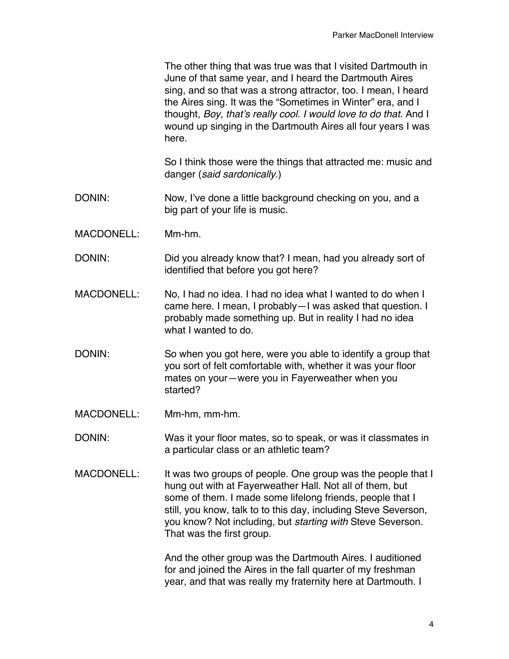| The other thing that was true was that I visited Dartmouth in    |
|------------------------------------------------------------------|
| June of that same year, and I heard the Dartmouth Aires          |
| sing, and so that was a strong attractor, too. I mean, I heard   |
| the Aires sing. It was the "Sometimes in Winter" era, and I      |
| thought, Boy, that's really cool. I would love to do that. And I |
| wound up singing in the Dartmouth Aires all four years I was     |
| here.                                                            |

So I think those were the things that attracted me: music and danger (*said sardonically*.)

- DONIN: Now, I've done a little background checking on you, and a big part of your life is music.
- MACDONELL: Mm-hm.
- DONIN: Did you already know that? I mean, had you already sort of identified that before you got here?
- MACDONELL: No, I had no idea. I had no idea what I wanted to do when I came here. I mean, I probably—I was asked that question. I probably made something up. But in reality I had no idea what I wanted to do.
- DONIN: So when you got here, were you able to identify a group that you sort of felt comfortable with, whether it was your floor mates on your—were you in Fayerweather when you started?
- MACDONELL: Mm-hm, mm-hm.
- DONIN: Was it your floor mates, so to speak, or was it classmates in a particular class or an athletic team?
- MACDONELL: It was two groups of people. One group was the people that I hung out with at Fayerweather Hall. Not all of them, but some of them. I made some lifelong friends, people that I still, you know, talk to to this day, including Steve Severson, you know? Not including, but *starting with* Steve Severson. That was the first group.

And the other group was the Dartmouth Aires. I auditioned for and joined the Aires in the fall quarter of my freshman year, and that was really my fraternity here at Dartmouth. I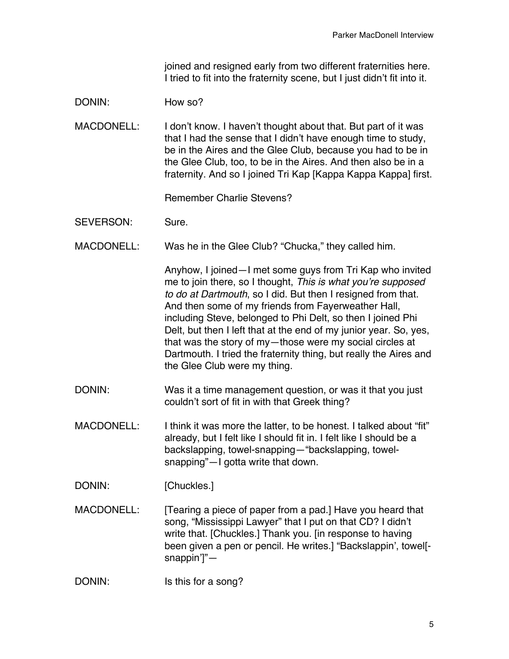joined and resigned early from two different fraternities here. I tried to fit into the fraternity scene, but I just didn't fit into it.

DONIN: How so?

MACDONELL: I don't know. I haven't thought about that. But part of it was that I had the sense that I didn't have enough time to study, be in the Aires and the Glee Club, because you had to be in the Glee Club, too, to be in the Aires. And then also be in a fraternity. And so I joined Tri Kap [Kappa Kappa Kappa] first.

Remember Charlie Stevens?

- SEVERSON: Sure.
- MACDONELL: Was he in the Glee Club? "Chucka," they called him.

Anyhow, I joined—I met some guys from Tri Kap who invited me to join there, so I thought, *This is what you*'*re supposed to do at Dartmouth*, so I did. But then I resigned from that. And then some of my friends from Fayerweather Hall, including Steve, belonged to Phi Delt, so then I joined Phi Delt, but then I left that at the end of my junior year. So, yes, that was the story of my—those were my social circles at Dartmouth. I tried the fraternity thing, but really the Aires and the Glee Club were my thing.

- DONIN: Was it a time management question, or was it that you just couldn't sort of fit in with that Greek thing?
- MACDONELL: I think it was more the latter, to be honest. I talked about "fit" already, but I felt like I should fit in. I felt like I should be a backslapping, towel-snapping—"backslapping, towelsnapping"—I gotta write that down.

DONIN: [Chuckles.]

MACDONELL: [Tearing a piece of paper from a pad.] Have you heard that song, "Mississippi Lawyer" that I put on that CD? I didn't write that. [Chuckles.] Thank you. [in response to having been given a pen or pencil. He writes.] "Backslappin', towel[ snappin']"—

DONIN: Is this for a song?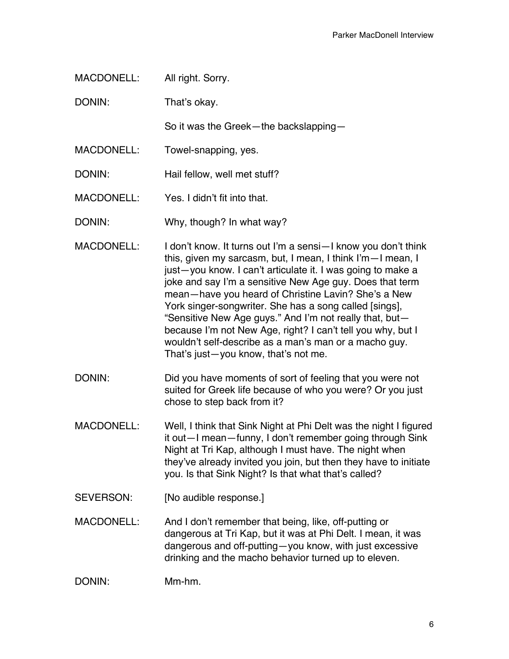| <b>MACDONELL:</b> | All right. Sorry. |
|-------------------|-------------------|
|-------------------|-------------------|

DONIN: That's okay.

So it was the Greek—the backslapping—

- MACDONELL: Towel-snapping, yes.
- DONIN: Hail fellow, well met stuff?

MACDONELL: Yes. I didn't fit into that.

DONIN: Why, though? In what way?

- MACDONELL: I don't know. It turns out I'm a sensi—I know you don't think this, given my sarcasm, but, I mean, I think I'm—I mean, I just—you know. I can't articulate it. I was going to make a joke and say I'm a sensitive New Age guy. Does that term mean—have you heard of Christine Lavin? She's a New York singer-songwriter. She has a song called [sings], "Sensitive New Age guys." And I'm not really that, but because I'm not New Age, right? I can't tell you why, but I wouldn't self-describe as a man's man or a macho guy. That's just—you know, that's not me.
- DONIN: Did you have moments of sort of feeling that you were not suited for Greek life because of who you were? Or you just chose to step back from it?
- MACDONELL: Well, I think that Sink Night at Phi Delt was the night I figured it out—I mean—funny, I don't remember going through Sink Night at Tri Kap, although I must have. The night when they've already invited you join, but then they have to initiate you. Is that Sink Night? Is that what that's called?
- SEVERSON: [No audible response.]
- MACDONELL: And I don't remember that being, like, off-putting or dangerous at Tri Kap, but it was at Phi Delt. I mean, it was dangerous and off-putting—you know, with just excessive drinking and the macho behavior turned up to eleven.

DONIN: Mm-hm.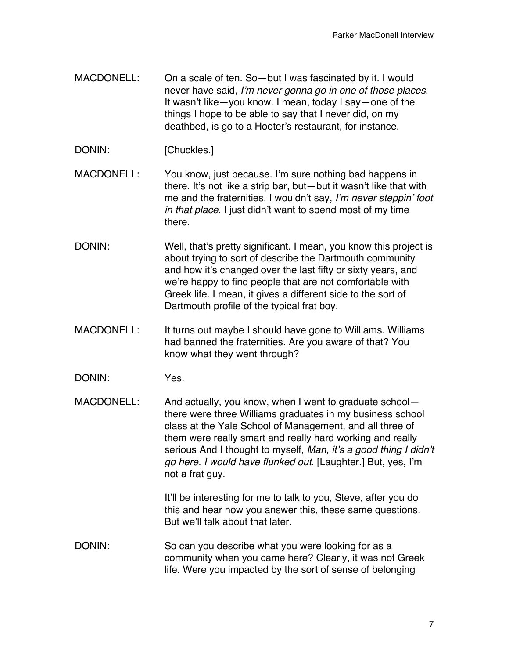- MACDONELL: On a scale of ten. So—but I was fascinated by it. I would never have said, *I*'*m never gonna go in one of those places*. It wasn't like—you know. I mean, today I say—one of the things I hope to be able to say that I never did, on my deathbed, is go to a Hooter's restaurant, for instance.
- DONIN: [Chuckles.]
- MACDONELL: You know, just because. I'm sure nothing bad happens in there. It's not like a strip bar, but—but it wasn't like that with me and the fraternities. I wouldn't say, *I*'*m never steppin*' *foot in that place*. I just didn't want to spend most of my time there.
- DONIN: Well, that's pretty significant. I mean, you know this project is about trying to sort of describe the Dartmouth community and how it's changed over the last fifty or sixty years, and we're happy to find people that are not comfortable with Greek life. I mean, it gives a different side to the sort of Dartmouth profile of the typical frat boy.
- MACDONELL: It turns out maybe I should have gone to Williams. Williams had banned the fraternities. Are you aware of that? You know what they went through?
- DONIN: Yes.
- MACDONELL: And actually, you know, when I went to graduate schoolthere were three Williams graduates in my business school class at the Yale School of Management, and all three of them were really smart and really hard working and really serious And I thought to myself, *Man, it*'*s a good thing I didn*'*t go here. I would have flunked out*. [Laughter.] But, yes, I'm not a frat guy.

It'll be interesting for me to talk to you, Steve, after you do this and hear how you answer this, these same questions. But we'll talk about that later.

DONIN: So can you describe what you were looking for as a community when you came here? Clearly, it was not Greek life. Were you impacted by the sort of sense of belonging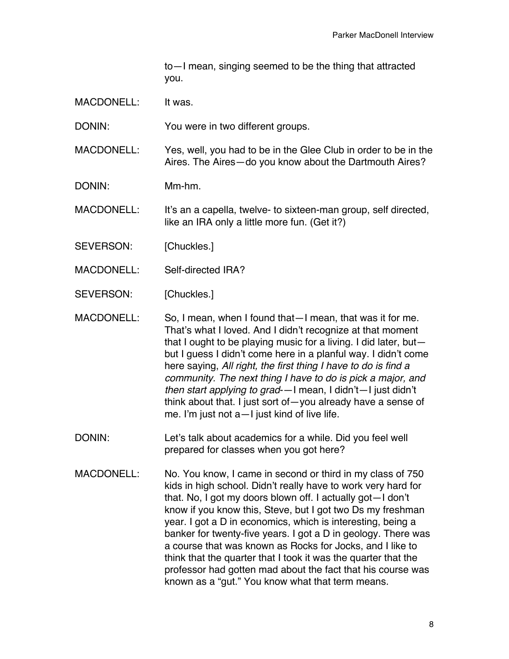to—I mean, singing seemed to be the thing that attracted you.

MACDONELL: It was.

DONIN: You were in two different groups.

MACDONELL: Yes, well, you had to be in the Glee Club in order to be in the Aires. The Aires—do you know about the Dartmouth Aires?

DONIN: Mm-hm.

MACDONELL: It's an a capella, twelve- to sixteen-man group, self directed, like an IRA only a little more fun. (Get it?)

SEVERSON: [Chuckles.]

- MACDONELL: Self-directed IRA?
- SEVERSON: [Chuckles.]

MACDONELL: So, I mean, when I found that—I mean, that was it for me. That's what I loved. And I didn't recognize at that moment that I ought to be playing music for a living. I did later, but but I guess I didn't come here in a planful way. I didn't come here saying, *All right, the first thing I have to do is find a community. The next thing I have to do is pick a major, and then start applying to grad*-—I mean, I didn't—I just didn't think about that. I just sort of—you already have a sense of me. I'm just not a—I just kind of live life.

- DONIN: Let's talk about academics for a while. Did you feel well prepared for classes when you got here?
- MACDONELL: No. You know, I came in second or third in my class of 750 kids in high school. Didn't really have to work very hard for that. No, I got my doors blown off. I actually got—I don't know if you know this, Steve, but I got two Ds my freshman year. I got a D in economics, which is interesting, being a banker for twenty-five years. I got a D in geology. There was a course that was known as Rocks for Jocks, and I like to think that the quarter that I took it was the quarter that the professor had gotten mad about the fact that his course was known as a "gut." You know what that term means.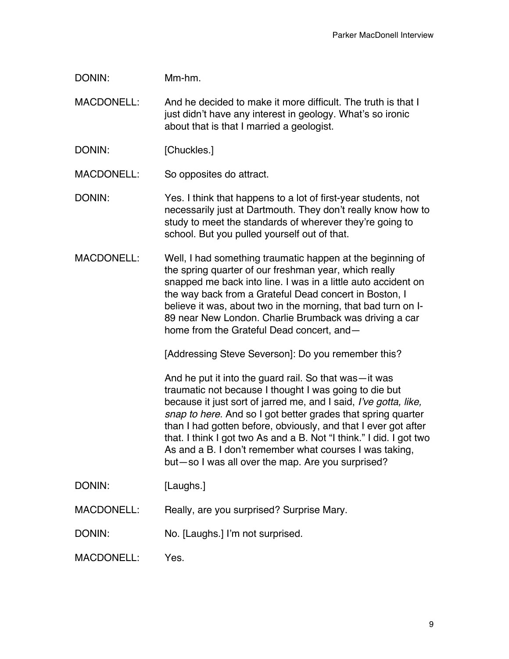DONIN: Mm-hm.

MACDONELL: And he decided to make it more difficult. The truth is that I just didn't have any interest in geology. What's so ironic about that is that I married a geologist.

DONIN: [Chuckles.]

MACDONELL: So opposites do attract.

DONIN: Yes. I think that happens to a lot of first-year students, not necessarily just at Dartmouth. They don't really know how to study to meet the standards of wherever they're going to school. But you pulled yourself out of that.

MACDONELL: Well, I had something traumatic happen at the beginning of the spring quarter of our freshman year, which really snapped me back into line. I was in a little auto accident on the way back from a Grateful Dead concert in Boston, I believe it was, about two in the morning, that bad turn on I-89 near New London. Charlie Brumback was driving a car home from the Grateful Dead concert, and—

[Addressing Steve Severson]: Do you remember this?

And he put it into the guard rail. So that was—it was traumatic not because I thought I was going to die but because it just sort of jarred me, and I said, *I*'*ve gotta, like, snap to here*. And so I got better grades that spring quarter than I had gotten before, obviously, and that I ever got after that. I think I got two As and a B. Not "I think." I did. I got two As and a B. I don't remember what courses I was taking, but—so I was all over the map. Are you surprised?

DONIN: [Laughs.]

MACDONELL: Really, are you surprised? Surprise Mary.

DONIN: No. [Laughs.] I'm not surprised.

MACDONELL: Yes.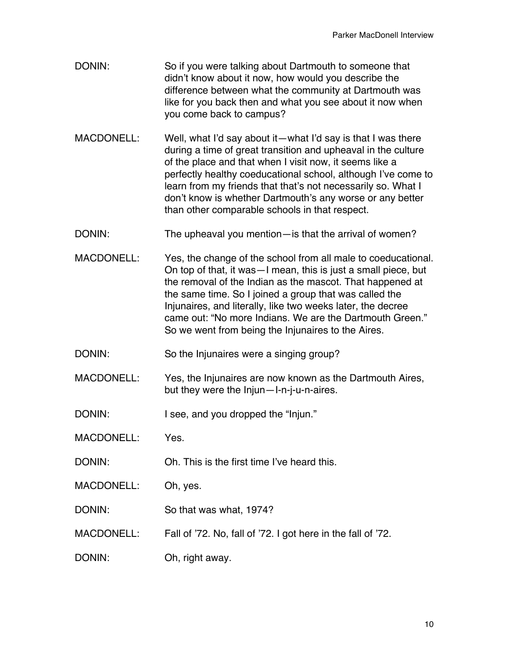- DONIN: So if you were talking about Dartmouth to someone that didn't know about it now, how would you describe the difference between what the community at Dartmouth was like for you back then and what you see about it now when you come back to campus?
- MACDONELL: Well, what I'd say about it—what I'd say is that I was there during a time of great transition and upheaval in the culture of the place and that when I visit now, it seems like a perfectly healthy coeducational school, although I've come to learn from my friends that that's not necessarily so. What I don't know is whether Dartmouth's any worse or any better than other comparable schools in that respect.
- DONIN: The upheaval you mention—is that the arrival of women?
- MACDONELL: Yes, the change of the school from all male to coeducational. On top of that, it was—I mean, this is just a small piece, but the removal of the Indian as the mascot. That happened at the same time. So I joined a group that was called the Injunaires, and literally, like two weeks later, the decree came out: "No more Indians. We are the Dartmouth Green." So we went from being the Injunaires to the Aires.
- DONIN: So the Injunaires were a singing group?
- MACDONELL: Yes, the Injunaires are now known as the Dartmouth Aires, but they were the Injun—I-n-j-u-n-aires.

DONIN: I see, and you dropped the "Injun."

MACDONELL: Yes.

- DONIN: Oh. This is the first time I've heard this.
- MACDONELL: Oh, yes.
- DONIN: So that was what, 1974?
- MACDONELL: Fall of '72. No, fall of '72. I got here in the fall of '72.
- DONIN: Oh, right away.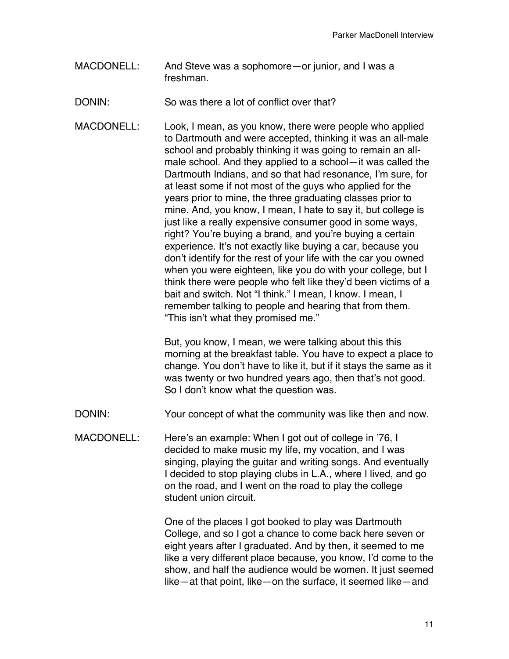- MACDONELL: And Steve was a sophomore—or junior, and I was a freshman.
- DONIN: So was there a lot of conflict over that?
- MACDONELL: Look, I mean, as you know, there were people who applied to Dartmouth and were accepted, thinking it was an all-male school and probably thinking it was going to remain an allmale school. And they applied to a school—it was called the Dartmouth Indians, and so that had resonance, I'm sure, for at least some if not most of the guys who applied for the years prior to mine, the three graduating classes prior to mine. And, you know, I mean, I hate to say it, but college is just like a really expensive consumer good in some ways, right? You're buying a brand, and you're buying a certain experience. It's not exactly like buying a car, because you don't identify for the rest of your life with the car you owned when you were eighteen, like you do with your college, but I think there were people who felt like they'd been victims of a bait and switch. Not "I think." I mean, I know. I mean, I remember talking to people and hearing that from them. "This isn't what they promised me."

But, you know, I mean, we were talking about this this morning at the breakfast table. You have to expect a place to change. You don't have to like it, but if it stays the same as it was twenty or two hundred years ago, then that's not good. So I don't know what the question was.

DONIN: Your concept of what the community was like then and now.

MACDONELL: Here's an example: When I got out of college in '76, I decided to make music my life, my vocation, and I was singing, playing the guitar and writing songs. And eventually I decided to stop playing clubs in L.A., where I lived, and go on the road, and I went on the road to play the college student union circuit.

> One of the places I got booked to play was Dartmouth College, and so I got a chance to come back here seven or eight years after I graduated. And by then, it seemed to me like a very different place because, you know, I'd come to the show, and half the audience would be women. It just seemed like—at that point, like—on the surface, it seemed like—and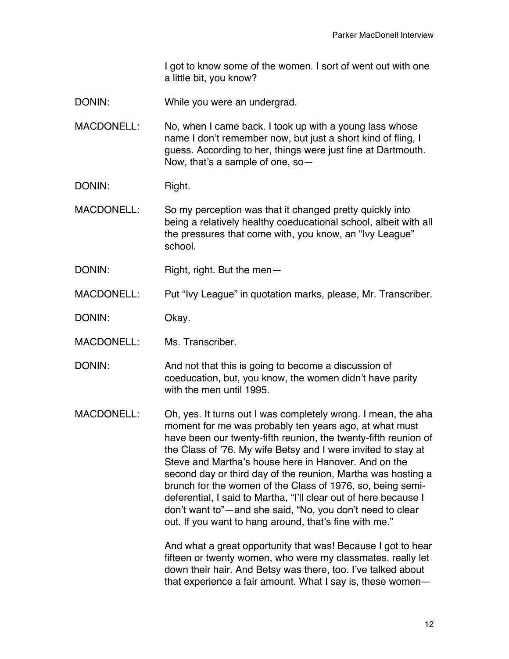I got to know some of the women. I sort of went out with one a little bit, you know?

DONIN: While you were an undergrad.

MACDONELL: No, when I came back. I took up with a young lass whose name I don't remember now, but just a short kind of fling, I guess. According to her, things were just fine at Dartmouth. Now, that's a sample of one, so—

DONIN: Right.

MACDONELL: So my perception was that it changed pretty quickly into being a relatively healthy coeducational school, albeit with all the pressures that come with, you know, an "Ivy League" school.

DONIN: Right, right. But the men-

MACDONELL: Put "Ivy League" in quotation marks, please, Mr. Transcriber.

DONIN: Okay.

MACDONELL: Ms. Transcriber.

DONIN: And not that this is going to become a discussion of coeducation, but, you know, the women didn't have parity with the men until 1995.

MACDONELL: Oh, yes. It turns out I was completely wrong. I mean, the aha moment for me was probably ten years ago, at what must have been our twenty-fifth reunion, the twenty-fifth reunion of the Class of '76. My wife Betsy and I were invited to stay at Steve and Martha's house here in Hanover. And on the second day or third day of the reunion, Martha was hosting a brunch for the women of the Class of 1976, so, being semideferential, I said to Martha, "I'll clear out of here because I don't want to"—and she said, "No, you don't need to clear out. If you want to hang around, that's fine with me."

> And what a great opportunity that was! Because I got to hear fifteen or twenty women, who were my classmates, really let down their hair. And Betsy was there, too. I've talked about that experience a fair amount. What I say is, these women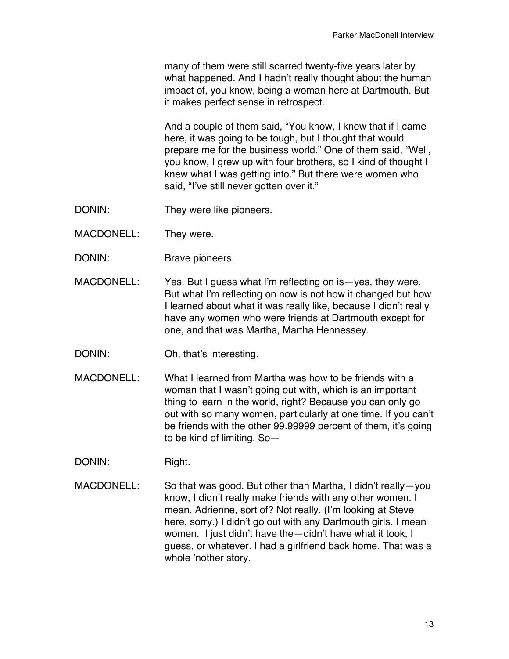many of them were still scarred twenty-five years later by what happened. And I hadn't really thought about the human impact of, you know, being a woman here at Dartmouth. But it makes perfect sense in retrospect.

And a couple of them said, "You know, I knew that if I came here, it was going to be tough, but I thought that would prepare me for the business world." One of them said, "Well, you know, I grew up with four brothers, so I kind of thought I knew what I was getting into." But there were women who said, "I've still never gotten over it."

- DONIN: They were like pioneers.
- MACDONELL: They were.
- DONIN: Brave pioneers.
- MACDONELL: Yes. But I guess what I'm reflecting on is—yes, they were. But what I'm reflecting on now is not how it changed but how I learned about what it was really like, because I didn't really have any women who were friends at Dartmouth except for one, and that was Martha, Martha Hennessey.
- DONIN: Oh, that's interesting.
- MACDONELL: What I learned from Martha was how to be friends with a woman that I wasn't going out with, which is an important thing to learn in the world, right? Because you can only go out with so many women, particularly at one time. If you can't be friends with the other 99.99999 percent of them, it's going to be kind of limiting. So—

DONIN: Right.

MACDONELL: So that was good. But other than Martha, I didn't really—you know, I didn't really make friends with any other women. I mean, Adrienne, sort of? Not really. (I'm looking at Steve here, sorry.) I didn't go out with any Dartmouth girls. I mean women. I just didn't have the—didn't have what it took, I guess, or whatever. I had a girlfriend back home. That was a whole 'nother story.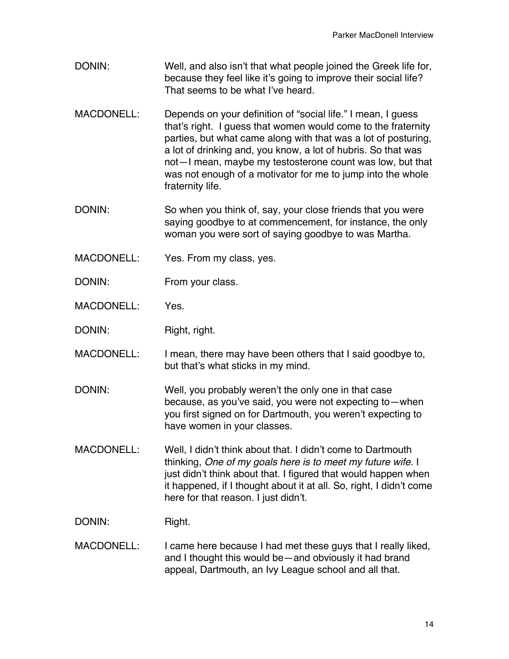- DONIN: Well, and also isn't that what people joined the Greek life for, because they feel like it's going to improve their social life? That seems to be what I've heard.
- MACDONELL: Depends on your definition of "social life." I mean, I guess that's right. I guess that women would come to the fraternity parties, but what came along with that was a lot of posturing, a lot of drinking and, you know, a lot of hubris. So that was not—I mean, maybe my testosterone count was low, but that was not enough of a motivator for me to jump into the whole fraternity life.
- DONIN: So when you think of, say, your close friends that you were saying goodbye to at commencement, for instance, the only woman you were sort of saying goodbye to was Martha.
- MACDONELL: Yes. From my class, yes.
- DONIN: From your class.

MACDONELL: Yes.

- DONIN: Right, right.
- MACDONELL: I mean, there may have been others that I said goodbye to, but that's what sticks in my mind.
- DONIN: Well, you probably weren't the only one in that case because, as you've said, you were not expecting to—when you first signed on for Dartmouth, you weren't expecting to have women in your classes.
- MACDONELL: Well, I didn't think about that. I didn't come to Dartmouth thinking, *One of my goals here is to meet my future wife*. I just didn't think about that. I figured that would happen when it happened, if I thought about it at all. So, right, I didn't come here for that reason. I just didn't.

## DONIN: Right.

MACDONELL: I came here because I had met these guys that I really liked, and I thought this would be—and obviously it had brand appeal, Dartmouth, an Ivy League school and all that.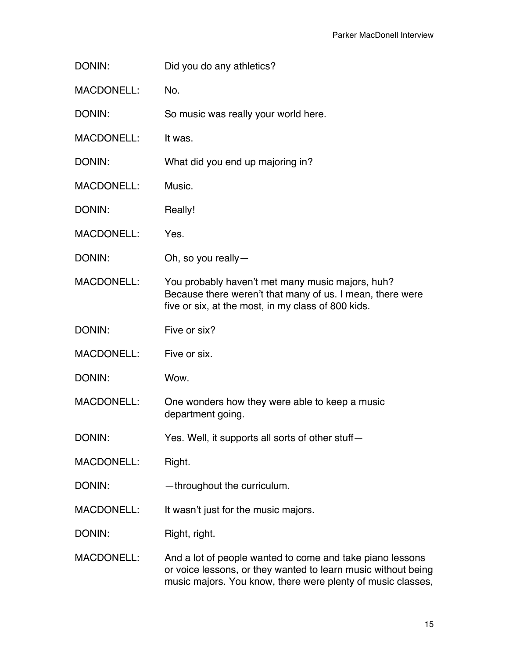- DONIN: Did you do any athletics?
- MACDONELL: No.

DONIN: So music was really your world here.

MACDONELL: It was.

DONIN: What did you end up majoring in?

MACDONELL: Music.

DONIN: Really!

MACDONELL: Yes.

DONIN: Oh, so you really-

MACDONELL: You probably haven't met many music majors, huh? Because there weren't that many of us. I mean, there were five or six, at the most, in my class of 800 kids.

DONIN: Five or six?

MACDONELL: Five or six.

DONIN: Wow.

MACDONELL: One wonders how they were able to keep a music department going.

DONIN: Yes. Well, it supports all sorts of other stuff-

MACDONELL: Right.

DONIN: — throughout the curriculum.

MACDONELL: It wasn't just for the music majors.

DONIN: Right, right.

MACDONELL: And a lot of people wanted to come and take piano lessons or voice lessons, or they wanted to learn music without being music majors. You know, there were plenty of music classes,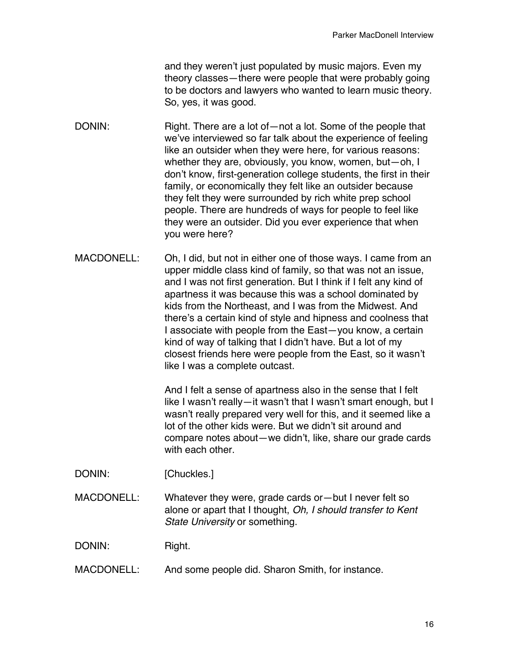and they weren't just populated by music majors. Even my theory classes—there were people that were probably going to be doctors and lawyers who wanted to learn music theory. So, yes, it was good.

- DONIN: Right. There are a lot of —not a lot. Some of the people that we've interviewed so far talk about the experience of feeling like an outsider when they were here, for various reasons: whether they are, obviously, you know, women, but—oh, I don't know, first-generation college students, the first in their family, or economically they felt like an outsider because they felt they were surrounded by rich white prep school people. There are hundreds of ways for people to feel like they were an outsider. Did you ever experience that when you were here?
- MACDONELL: Oh, I did, but not in either one of those ways. I came from an upper middle class kind of family, so that was not an issue, and I was not first generation. But I think if I felt any kind of apartness it was because this was a school dominated by kids from the Northeast, and I was from the Midwest. And there's a certain kind of style and hipness and coolness that I associate with people from the East—you know, a certain kind of way of talking that I didn't have. But a lot of my closest friends here were people from the East, so it wasn't like I was a complete outcast.

And I felt a sense of apartness also in the sense that I felt like I wasn't really—it wasn't that I wasn't smart enough, but I wasn't really prepared very well for this, and it seemed like a lot of the other kids were. But we didn't sit around and compare notes about—we didn't, like, share our grade cards with each other.

- DONIN: [Chuckles.]
- MACDONELL: Whatever they were, grade cards or—but I never felt so alone or apart that I thought, *Oh, I should transfer to Kent State University* or something.

DONIN: Right.

MACDONELL: And some people did. Sharon Smith, for instance.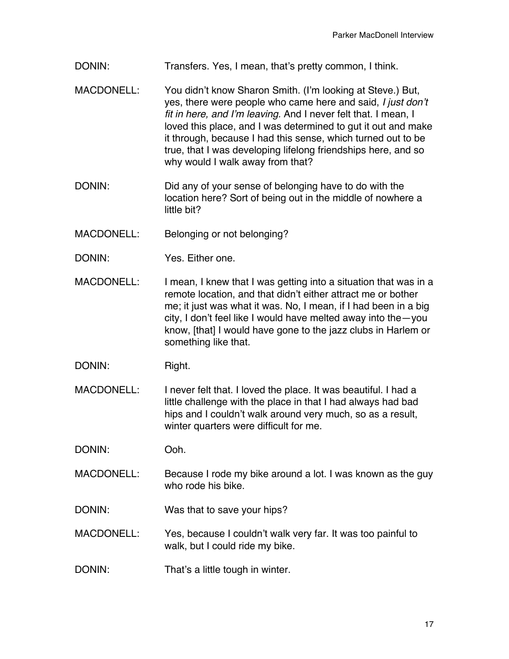DONIN: Transfers. Yes, I mean, that's pretty common, I think.

- MACDONELL: You didn't know Sharon Smith. (I'm looking at Steve.) But, yes, there were people who came here and said, *I just don*'*t fit in here, and I*'*m leaving.* And I never felt that. I mean, I loved this place, and I was determined to gut it out and make it through, because I had this sense, which turned out to be true, that I was developing lifelong friendships here, and so why would I walk away from that?
- DONIN: Did any of your sense of belonging have to do with the location here? Sort of being out in the middle of nowhere a little bit?
- MACDONELL: Belonging or not belonging?
- DONIN: Yes. Either one.
- MACDONELL: I mean, I knew that I was getting into a situation that was in a remote location, and that didn't either attract me or bother me; it just was what it was. No, I mean, if I had been in a big city, I don't feel like I would have melted away into the—you know, [that] I would have gone to the jazz clubs in Harlem or something like that.
- DONIN: Right.
- MACDONELL: I never felt that. I loved the place. It was beautiful. I had a little challenge with the place in that I had always had bad hips and I couldn't walk around very much, so as a result, winter quarters were difficult for me.
- DONIN: Ooh.
- MACDONELL: Because I rode my bike around a lot. I was known as the guy who rode his bike.
- DONIN: Was that to save your hips?
- MACDONELL: Yes, because I couldn't walk very far. It was too painful to walk, but I could ride my bike.
- DONIN: That's a little tough in winter.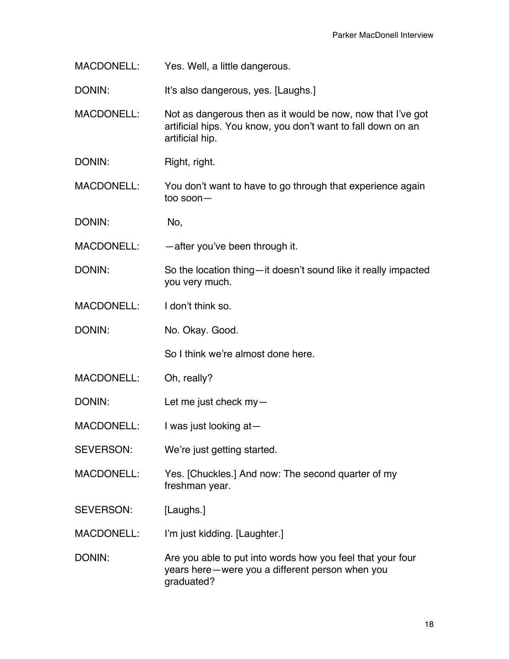MACDONELL: Yes. Well, a little dangerous.

DONIN: It's also dangerous, yes. [Laughs.]

MACDONELL: Not as dangerous then as it would be now, now that I've got artificial hips. You know, you don't want to fall down on an artificial hip.

DONIN: Right, right.

MACDONELL: You don't want to have to go through that experience again too soon—

DONIN: No,

MACDONELL: — —after you've been through it.

DONIN: So the location thing—it doesn't sound like it really impacted you very much.

MACDONELL: I don't think so.

DONIN: No. Okay. Good.

So I think we're almost done here.

MACDONELL: Oh, really?

DONIN: Let me just check my-

MACDONELL: I was just looking at-

SEVERSON: We're just getting started.

MACDONELL: Yes. [Chuckles.] And now: The second quarter of my freshman year.

SEVERSON: [Laughs.]

MACDONELL: I'm just kidding. [Laughter.]

DONIN: Are you able to put into words how you feel that your four years here—were you a different person when you graduated?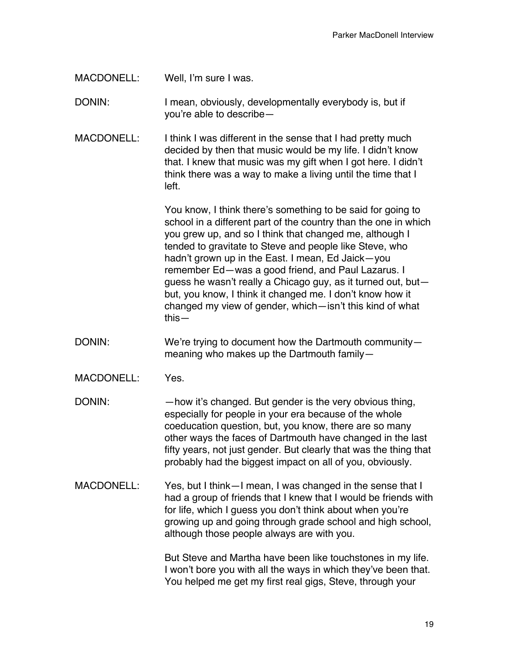MACDONELL: Well, I'm sure I was.

DONIN: I mean, obviously, developmentally everybody is, but if you're able to describe—

MACDONELL: I think I was different in the sense that I had pretty much decided by then that music would be my life. I didn't know that. I knew that music was my gift when I got here. I didn't think there was a way to make a living until the time that I left.

> You know, I think there's something to be said for going to school in a different part of the country than the one in which you grew up, and so I think that changed me, although I tended to gravitate to Steve and people like Steve, who hadn't grown up in the East. I mean, Ed Jaick—you remember Ed—was a good friend, and Paul Lazarus. I guess he wasn't really a Chicago guy, as it turned out, but but, you know, I think it changed me. I don't know how it changed my view of gender, which—isn't this kind of what this—

- DONIN: We're trying to document how the Dartmouth communitymeaning who makes up the Dartmouth family—
- MACDONELL: Yes.
- DONIN: how it's changed. But gender is the very obvious thing, especially for people in your era because of the whole coeducation question, but, you know, there are so many other ways the faces of Dartmouth have changed in the last fifty years, not just gender. But clearly that was the thing that probably had the biggest impact on all of you, obviously.
- MACDONELL: Yes, but I think—I mean, I was changed in the sense that I had a group of friends that I knew that I would be friends with for life, which I guess you don't think about when you're growing up and going through grade school and high school, although those people always are with you.

But Steve and Martha have been like touchstones in my life. I won't bore you with all the ways in which they've been that. You helped me get my first real gigs, Steve, through your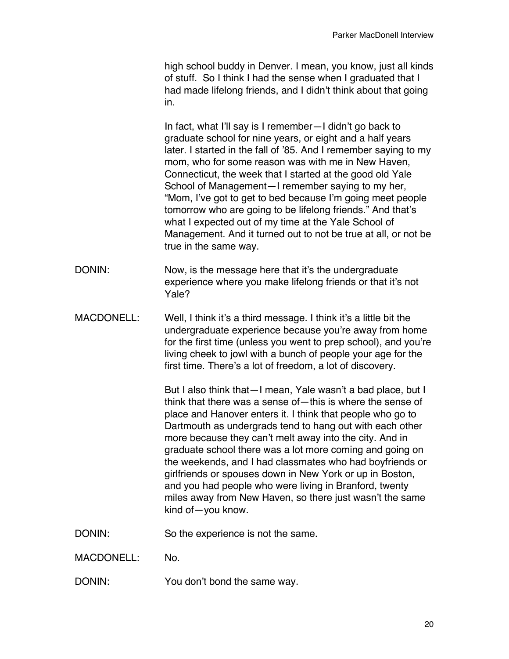high school buddy in Denver. I mean, you know, just all kinds of stuff. So I think I had the sense when I graduated that I had made lifelong friends, and I didn't think about that going in.

In fact, what I'll say is I remember—I didn't go back to graduate school for nine years, or eight and a half years later. I started in the fall of '85. And I remember saying to my mom, who for some reason was with me in New Haven, Connecticut, the week that I started at the good old Yale School of Management—I remember saying to my her, "Mom, I've got to get to bed because I'm going meet people tomorrow who are going to be lifelong friends." And that's what I expected out of my time at the Yale School of Management. And it turned out to not be true at all, or not be true in the same way.

- DONIN: Now, is the message here that it's the undergraduate experience where you make lifelong friends or that it's not Yale?
- MACDONELL: Well, I think it's a third message. I think it's a little bit the undergraduate experience because you're away from home for the first time (unless you went to prep school), and you're living cheek to jowl with a bunch of people your age for the first time. There's a lot of freedom, a lot of discovery.

But I also think that—I mean, Yale wasn't a bad place, but I think that there was a sense of—this is where the sense of place and Hanover enters it. I think that people who go to Dartmouth as undergrads tend to hang out with each other more because they can't melt away into the city. And in graduate school there was a lot more coming and going on the weekends, and I had classmates who had boyfriends or girlfriends or spouses down in New York or up in Boston, and you had people who were living in Branford, twenty miles away from New Haven, so there just wasn't the same kind of—you know.

DONIN: So the experience is not the same.

MACDONELL: No.

DONIN: You don't bond the same way.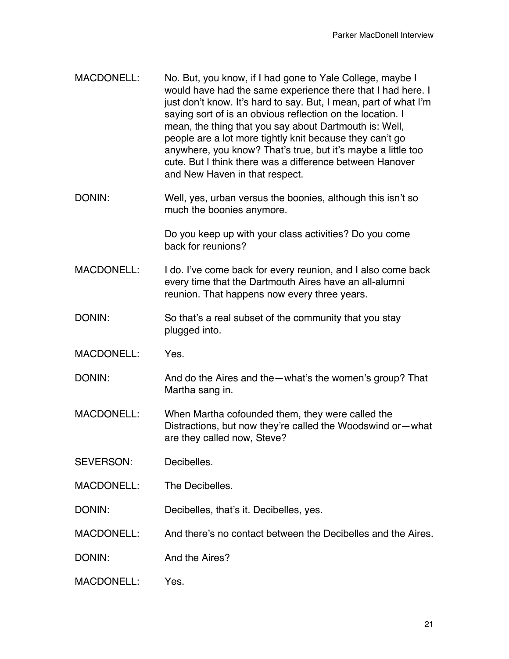- MACDONELL: No. But, you know, if I had gone to Yale College, maybe I would have had the same experience there that I had here. I just don't know. It's hard to say. But, I mean, part of what I'm saying sort of is an obvious reflection on the location. I mean, the thing that you say about Dartmouth is: Well, people are a lot more tightly knit because they can't go anywhere, you know? That's true, but it's maybe a little too cute. But I think there was a difference between Hanover and New Haven in that respect.
- DONIN: Well, yes, urban versus the boonies, although this isn't so much the boonies anymore.

Do you keep up with your class activities? Do you come back for reunions?

- MACDONELL: I do. I've come back for every reunion, and I also come back every time that the Dartmouth Aires have an all-alumni reunion. That happens now every three years.
- DONIN: So that's a real subset of the community that you stay plugged into.
- MACDONELL: Yes.

DONIN: And do the Aires and the—what's the women's group? That Martha sang in.

MACDONELL: When Martha cofounded them, they were called the Distractions, but now they're called the Woodswind or—what are they called now, Steve?

- SEVERSON: Decibelles.
- MACDONELL: The Decibelles.
- DONIN: Decibelles, that's it. Decibelles, yes.
- MACDONELL: And there's no contact between the Decibelles and the Aires.

DONIN: And the Aires?

MACDONELL: Yes.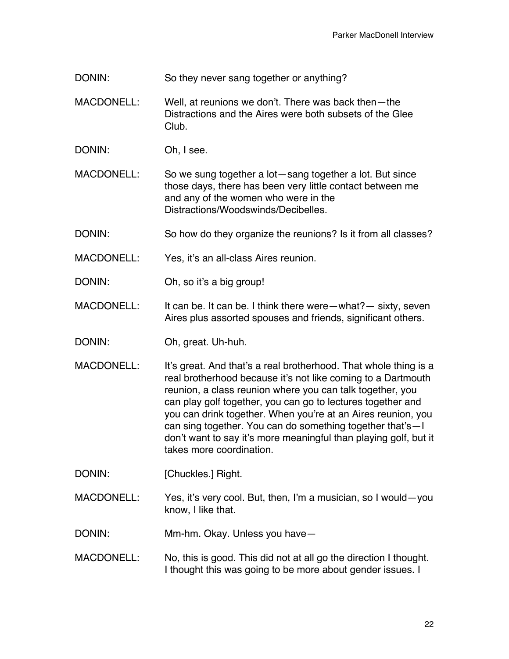- DONIN: So they never sang together or anything?
- MACDONELL: Well, at reunions we don't. There was back then—the Distractions and the Aires were both subsets of the Glee Club.
- DONIN: Oh, I see.

MACDONELL: So we sung together a lot—sang together a lot. But since those days, there has been very little contact between me and any of the women who were in the Distractions/Woodswinds/Decibelles.

DONIN: So how do they organize the reunions? Is it from all classes?

MACDONELL: Yes, it's an all-class Aires reunion.

- DONIN: Oh, so it's a big group!
- MACDONELL: It can be. It can be. I think there were—what?— sixty, seven Aires plus assorted spouses and friends, significant others.
- DONIN: Oh, great. Uh-huh.
- MACDONELL: It's great. And that's a real brotherhood. That whole thing is a real brotherhood because it's not like coming to a Dartmouth reunion, a class reunion where you can talk together, you can play golf together, you can go to lectures together and you can drink together. When you're at an Aires reunion, you can sing together. You can do something together that's—I don't want to say it's more meaningful than playing golf, but it takes more coordination.
- DONIN: [Chuckles.] Right.
- MACDONELL: Yes, it's very cool. But, then, I'm a musician, so I would—you know, I like that.
- DONIN: Mm-hm. Okay. Unless you have—
- MACDONELL: No, this is good. This did not at all go the direction I thought. I thought this was going to be more about gender issues. I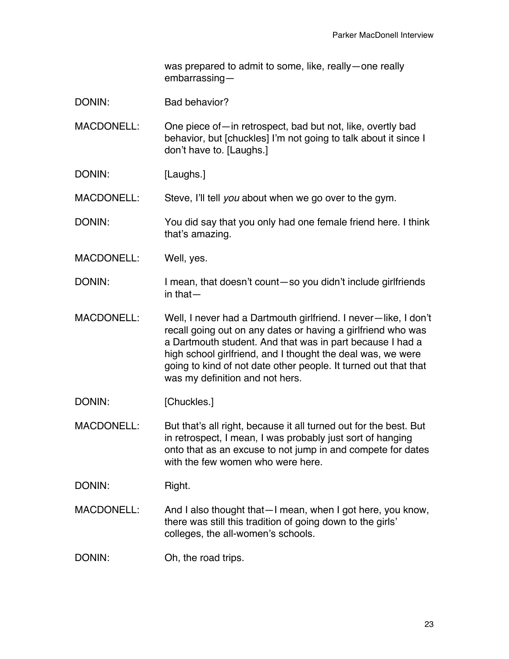was prepared to admit to some, like, really—one really embarrassing—

DONIN: Bad behavior?

MACDONELL: One piece of—in retrospect, bad but not, like, overtly bad behavior, but [chuckles] I'm not going to talk about it since I don't have to. [Laughs.]

DONIN: [Laughs.]

MACDONELL: Steve, I'll tell *you* about when we go over to the gym.

- DONIN: You did say that you only had one female friend here. I think that's amazing.
- MACDONELL: Well, yes.
- DONIN: I mean, that doesn't count—so you didn't include girlfriends in that—
- MACDONELL: Well, I never had a Dartmouth girlfriend. I never—like, I don't recall going out on any dates or having a girlfriend who was a Dartmouth student. And that was in part because I had a high school girlfriend, and I thought the deal was, we were going to kind of not date other people. It turned out that that was my definition and not hers.
- DONIN: [Chuckles.]
- MACDONELL: But that's all right, because it all turned out for the best. But in retrospect, I mean, I was probably just sort of hanging onto that as an excuse to not jump in and compete for dates with the few women who were here.
- DONIN: Right.
- MACDONELL: And I also thought that—I mean, when I got here, you know, there was still this tradition of going down to the girls' colleges, the all-women's schools.
- DONIN: Oh, the road trips.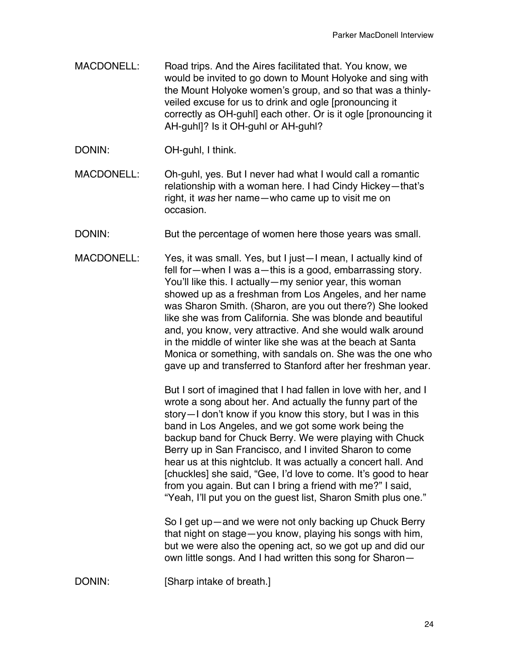- MACDONELL: Road trips. And the Aires facilitated that. You know, we would be invited to go down to Mount Holyoke and sing with the Mount Holyoke women's group, and so that was a thinlyveiled excuse for us to drink and ogle [pronouncing it correctly as OH-guhl] each other. Or is it ogle [pronouncing it AH-guhl]? Is it OH-guhl or AH-guhl?
- DONIN: OH-guhl, I think.
- MACDONELL: Oh-guhl, yes. But I never had what I would call a romantic relationship with a woman here. I had Cindy Hickey—that's right, it *was* her name—who came up to visit me on occasion.
- DONIN: But the percentage of women here those years was small.
- MACDONELL: Yes, it was small. Yes, but I just—I mean, I actually kind of fell for—when I was a—this is a good, embarrassing story. You'll like this. I actually—my senior year, this woman showed up as a freshman from Los Angeles, and her name was Sharon Smith. (Sharon, are you out there?) She looked like she was from California. She was blonde and beautiful and, you know, very attractive. And she would walk around in the middle of winter like she was at the beach at Santa Monica or something, with sandals on. She was the one who gave up and transferred to Stanford after her freshman year.

But I sort of imagined that I had fallen in love with her, and I wrote a song about her. And actually the funny part of the story—I don't know if you know this story, but I was in this band in Los Angeles, and we got some work being the backup band for Chuck Berry. We were playing with Chuck Berry up in San Francisco, and I invited Sharon to come hear us at this nightclub. It was actually a concert hall. And [chuckles] she said, "Gee, I'd love to come. It's good to hear from you again. But can I bring a friend with me?" I said, "Yeah, I'll put you on the guest list, Sharon Smith plus one."

So I get up—and we were not only backing up Chuck Berry that night on stage—you know, playing his songs with him, but we were also the opening act, so we got up and did our own little songs. And I had written this song for Sharon—

DONIN: [Sharp intake of breath.]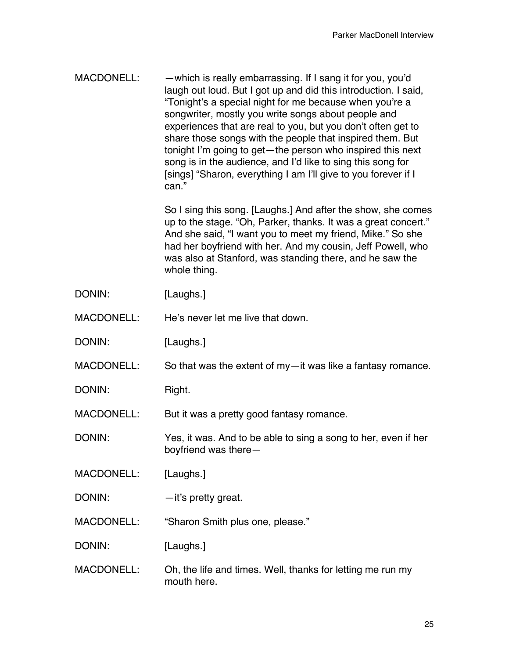MACDONELL: —which is really embarrassing. If I sang it for you, you'd laugh out loud. But I got up and did this introduction. I said, "Tonight's a special night for me because when you're a songwriter, mostly you write songs about people and experiences that are real to you, but you don't often get to share those songs with the people that inspired them. But tonight I'm going to get—the person who inspired this next song is in the audience, and I'd like to sing this song for [sings] "Sharon, everything I am I'll give to you forever if I can."

> So I sing this song. [Laughs.] And after the show, she comes up to the stage. "Oh, Parker, thanks. It was a great concert." And she said, "I want you to meet my friend, Mike." So she had her boyfriend with her. And my cousin, Jeff Powell, who was also at Stanford, was standing there, and he saw the whole thing.

DONIN: [Laughs.]

MACDONELL: He's never let me live that down.

DONIN: [Laughs.]

MACDONELL: So that was the extent of my—it was like a fantasy romance.

DONIN: Right.

MACDONELL: But it was a pretty good fantasy romance.

DONIN: Yes, it was. And to be able to sing a song to her, even if her boyfriend was there—

MACDONELL: [Laughs.]

DONIN: — —it's pretty great.

MACDONELL: "Sharon Smith plus one, please."

DONIN: [Laughs.]

MACDONELL: Oh, the life and times. Well, thanks for letting me run my mouth here.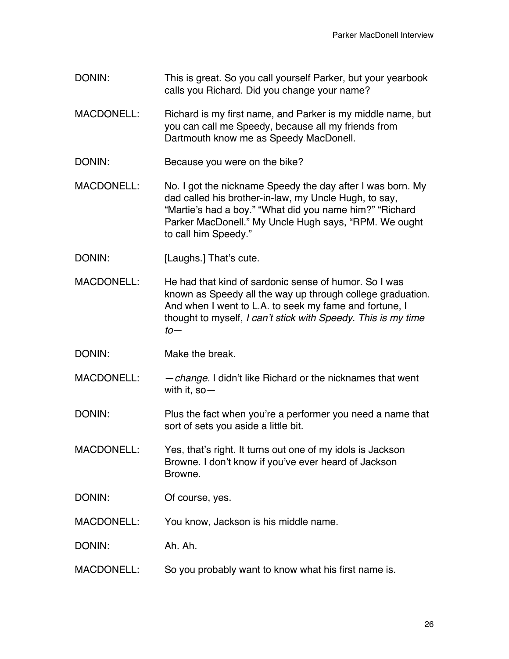- DONIN: This is great. So you call yourself Parker, but your yearbook calls you Richard. Did you change your name?
- MACDONELL: Richard is my first name, and Parker is my middle name, but you can call me Speedy, because all my friends from Dartmouth know me as Speedy MacDonell.
- DONIN: Because you were on the bike?
- MACDONELL: No. I got the nickname Speedy the day after I was born. My dad called his brother-in-law, my Uncle Hugh, to say, "Martie's had a boy." "What did you name him?" "Richard Parker MacDonell." My Uncle Hugh says, "RPM. We ought to call him Speedy."
- DONIN: [Laughs.] That's cute.
- MACDONELL: He had that kind of sardonic sense of humor. So I was known as Speedy all the way up through college graduation. And when I went to L.A. to seek my fame and fortune, I thought to myself, *I can*'*t stick with Speedy. This is my time to*—
- DONIN: Make the break.
- MACDONELL: —*change.* I didn't like Richard or the nicknames that went with it, so—
- DONIN: Plus the fact when you're a performer you need a name that sort of sets you aside a little bit.
- MACDONELL: Yes, that's right. It turns out one of my idols is Jackson Browne. I don't know if you've ever heard of Jackson Browne.
- DONIN: Of course, yes.
- MACDONELL: You know, Jackson is his middle name.
- DONIN: Ah. Ah.
- MACDONELL: So you probably want to know what his first name is.